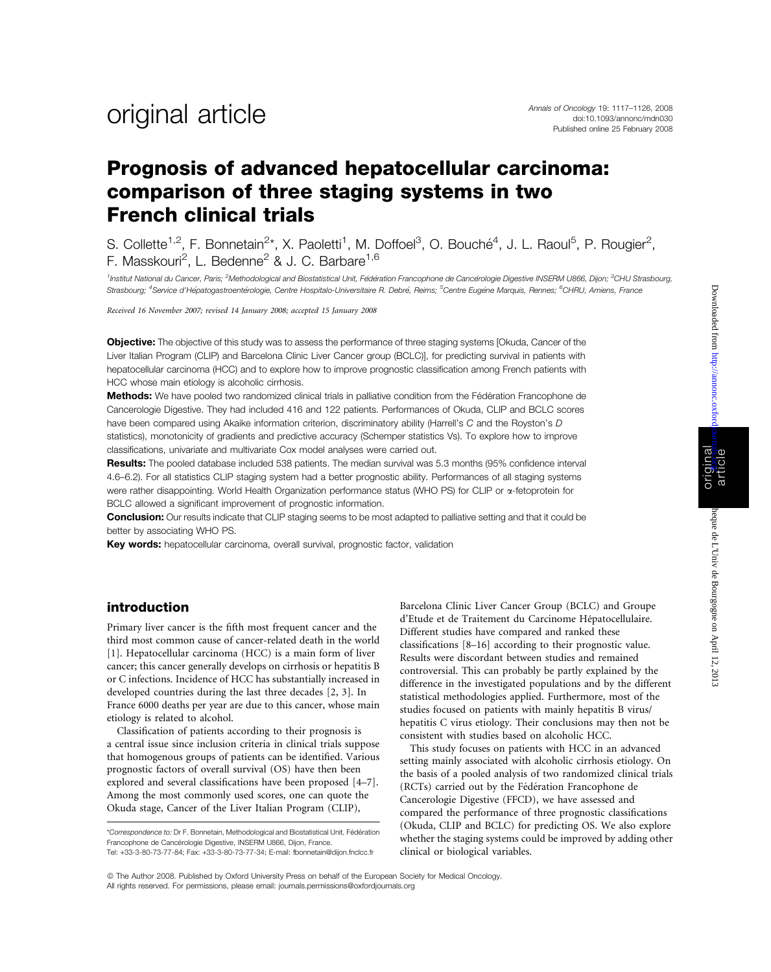# Prognosis of advanced hepatocellular carcinoma: comparison of three staging systems in two French clinical trials

S. Collette<sup>1,2</sup>, F. Bonnetain<sup>2\*</sup>, X. Paoletti<sup>1</sup>, M. Doffoel<sup>3</sup>, O. Bouché<sup>4</sup>, J. L. Raoul<sup>5</sup>, P. Rougier<sup>2</sup>, F. Masskouri<sup>2</sup>, L. Bedenne<sup>2</sup> & J. C. Barbare<sup>1,6</sup>

<sup>1</sup>Institut National du Cancer, Paris; <sup>2</sup>Methodological and Biostatistical Unit, Fédération Francophone de Cancérologie Digestive INSERM U866, Dijon; <sup>3</sup>CHU Strasbourg, Strasbourg; <sup>4</sup>Service d'Hépatogastroentérologie, Centre Hospitalo-Universitaire R. Debré, Reims; <sup>5</sup>Centre Eugène Marquis, Rennes; <sup>6</sup>CHRU, Amiens, France

Received 16 November 2007; revised 14 January 2008; accepted 15 January 2008

Objective: The objective of this study was to assess the performance of three staging systems [Okuda, Cancer of the Liver Italian Program (CLIP) and Barcelona Clinic Liver Cancer group (BCLC)], for predicting survival in patients with hepatocellular carcinoma (HCC) and to explore how to improve prognostic classification among French patients with HCC whose main etiology is alcoholic cirrhosis.

Methods: We have pooled two randomized clinical trials in palliative condition from the Fédération Francophone de Cancerologie Digestive. They had included 416 and 122 patients. Performances of Okuda, CLIP and BCLC scores have been compared using Akaike information criterion, discriminatory ability (Harrell's C and the Royston's D statistics), monotonicity of gradients and predictive accuracy (Schemper statistics Vs). To explore how to improve classifications, univariate and multivariate Cox model analyses were carried out.

Results: The pooled database included 538 patients. The median survival was 5.3 months (95% confidence interval 4.6–6.2). For all statistics CLIP staging system had a better prognostic ability. Performances of all staging systems were rather disappointing. World Health Organization performance status (WHO PS) for CLIP or a-fetoprotein for BCLC allowed a significant improvement of prognostic information.

**Conclusion:** Our results indicate that CLIP staging seems to be most adapted to palliative setting and that it could be better by associating WHO PS.

Key words: hepatocellular carcinoma, overall survival, prognostic factor, validation

### introduction

Primary liver cancer is the fifth most frequent cancer and the third most common cause of cancer-related death in the world [1]. Hepatocellular carcinoma (HCC) is a main form of liver cancer; this cancer generally develops on cirrhosis or hepatitis B or C infections. Incidence of HCC has substantially increased in developed countries during the last three decades [2, 3]. In France 6000 deaths per year are due to this cancer, whose main etiology is related to alcohol.

Classification of patients according to their prognosis is a central issue since inclusion criteria in clinical trials suppose that homogenous groups of patients can be identified. Various prognostic factors of overall survival (OS) have then been explored and several classifications have been proposed [4–7]. Among the most commonly used scores, one can quote the Okuda stage, Cancer of the Liver Italian Program (CLIP),

Barcelona Clinic Liver Cancer Group (BCLC) and Groupe d'Etude et de Traitement du Carcinome Hépatocellulaire. Different studies have compared and ranked these classifications [8–16] according to their prognostic value. Results were discordant between studies and remained controversial. This can probably be partly explained by the difference in the investigated populations and by the different statistical methodologies applied. Furthermore, most of the studies focused on patients with mainly hepatitis B virus/ hepatitis C virus etiology. Their conclusions may then not be consistent with studies based on alcoholic HCC.

This study focuses on patients with HCC in an advanced setting mainly associated with alcoholic cirrhosis etiology. On the basis of a pooled analysis of two randomized clinical trials (RCTs) carried out by the Fédération Francophone de Cancerologie Digestive (FFCD), we have assessed and compared the performance of three prognostic classifications (Okuda, CLIP and BCLC) for predicting OS. We also explore whether the staging systems could be improved by adding other clinical or biological variables.

<sup>\*</sup>Correspondence to: Dr F. Bonnetain, Methodological and Biostatistical Unit, Fédération Francophone de Cancérologie Digestive, INSERM U866, Dijon, France. Tel: +33-3-80-73-77-84; Fax: +33-3-80-73-77-34; E-mail: fbonnetain@dijon.fnclcc.fr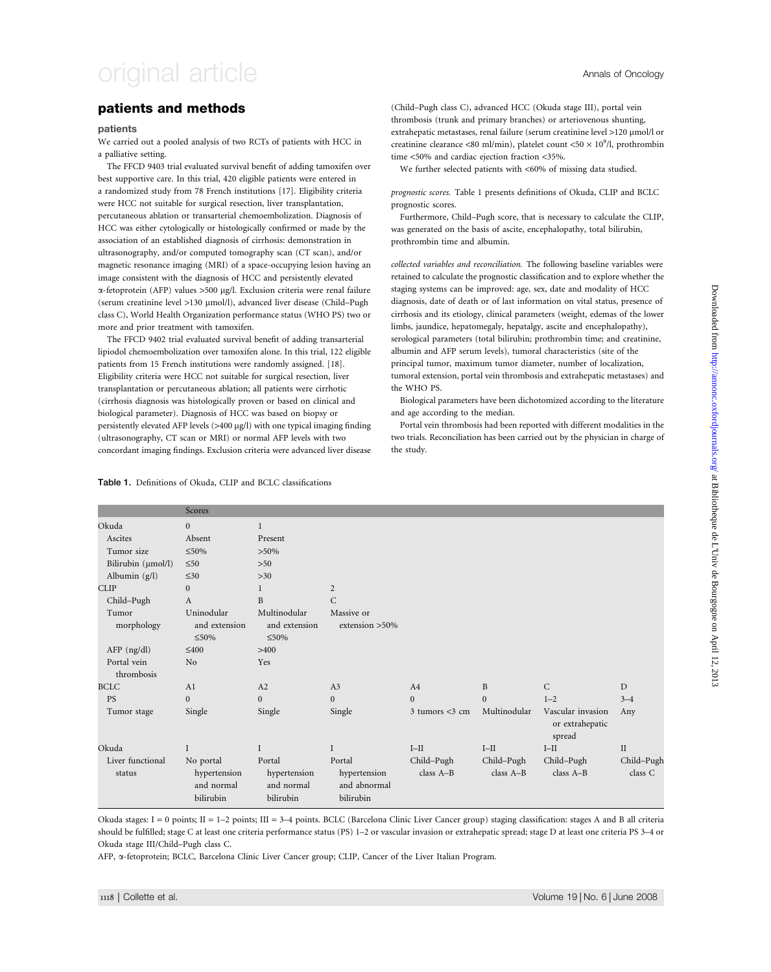## patients and methods

#### patients

We carried out a pooled analysis of two RCTs of patients with HCC in a palliative setting.

The FFCD 9403 trial evaluated survival benefit of adding tamoxifen over best supportive care. In this trial, 420 eligible patients were entered in a randomized study from 78 French institutions [17]. Eligibility criteria were HCC not suitable for surgical resection, liver transplantation, percutaneous ablation or transarterial chemoembolization. Diagnosis of HCC was either cytologically or histologically confirmed or made by the association of an established diagnosis of cirrhosis: demonstration in ultrasonography, and/or computed tomography scan (CT scan), and/or magnetic resonance imaging (MRI) of a space-occupying lesion having an image consistent with the diagnosis of HCC and persistently elevated  $\alpha$ -fetoprotein (AFP) values >500 µg/l. Exclusion criteria were renal failure (serum creatinine level >130 µmol/l), advanced liver disease (Child–Pugh class C), World Health Organization performance status (WHO PS) two or more and prior treatment with tamoxifen.

The FFCD 9402 trial evaluated survival benefit of adding transarterial lipiodol chemoembolization over tamoxifen alone. In this trial, 122 eligible patients from 15 French institutions were randomly assigned. [18]. Eligibility criteria were HCC not suitable for surgical resection, liver transplantation or percutaneous ablation; all patients were cirrhotic (cirrhosis diagnosis was histologically proven or based on clinical and biological parameter). Diagnosis of HCC was based on biopsy or persistently elevated AFP levels (>400 µg/l) with one typical imaging finding (ultrasonography, CT scan or MRI) or normal AFP levels with two concordant imaging findings. Exclusion criteria were advanced liver disease

#### Table 1. Definitions of Okuda, CLIP and BCLC classifications

(Child–Pugh class C), advanced HCC (Okuda stage III), portal vein thrombosis (trunk and primary branches) or arteriovenous shunting, extrahepatic metastases, renal failure (serum creatinine level >120 µmol/l or creatinine clearance <80 ml/min), platelet count <50  $\times$  10<sup>9</sup>/l, prothrombin time <50% and cardiac ejection fraction <35%.

We further selected patients with <60% of missing data studied.

prognostic scores. Table 1 presents definitions of Okuda, CLIP and BCLC prognostic scores.

Furthermore, Child–Pugh score, that is necessary to calculate the CLIP, was generated on the basis of ascite, encephalopathy, total bilirubin, prothrombin time and albumin.

collected variables and reconciliation. The following baseline variables were retained to calculate the prognostic classification and to explore whether the staging systems can be improved: age, sex, date and modality of HCC diagnosis, date of death or of last information on vital status, presence of cirrhosis and its etiology, clinical parameters (weight, edemas of the lower limbs, jaundice, hepatomegaly, hepatalgy, ascite and encephalopathy), serological parameters (total bilirubin; prothrombin time; and creatinine, albumin and AFP serum levels), tumoral characteristics (site of the principal tumor, maximum tumor diameter, number of localization, tumoral extension, portal vein thrombosis and extrahepatic metastases) and the WHO PS.

Biological parameters have been dichotomized according to the literature and age according to the median.

Portal vein thrombosis had been reported with different modalities in the two trials. Reconciliation has been carried out by the physician in charge of the study.

|                            | Scores                                               |                                                   |                                                     |                         |                         |                                                |                       |
|----------------------------|------------------------------------------------------|---------------------------------------------------|-----------------------------------------------------|-------------------------|-------------------------|------------------------------------------------|-----------------------|
| Okuda                      | $\mathbf{0}$                                         | $\mathbf{1}$                                      |                                                     |                         |                         |                                                |                       |
| Ascites                    | Absent                                               | Present                                           |                                                     |                         |                         |                                                |                       |
| Tumor size                 | $\leq 50\%$                                          | $>50\%$                                           |                                                     |                         |                         |                                                |                       |
| Bilirubin (µmol/l)         | $\leq 50$                                            | $>50$                                             |                                                     |                         |                         |                                                |                       |
| Albumin $(g/l)$            | $\leq 30$                                            | $>30$                                             |                                                     |                         |                         |                                                |                       |
| <b>CLIP</b>                | $\overline{0}$                                       |                                                   | $\overline{c}$                                      |                         |                         |                                                |                       |
| Child-Pugh                 | А                                                    | B                                                 | $\mathsf{C}$                                        |                         |                         |                                                |                       |
| Tumor<br>morphology        | Uninodular<br>and extension<br>$\leq 50\%$           | Multinodular<br>and extension<br>$\leq 50\%$      | Massive or<br>extension >50%                        |                         |                         |                                                |                       |
| $AFP$ (ng/dl)              | $\leq 400$                                           | >400                                              |                                                     |                         |                         |                                                |                       |
| Portal vein<br>thrombosis  | No                                                   | Yes                                               |                                                     |                         |                         |                                                |                       |
| <b>BCLC</b>                | A1                                                   | A2                                                | A <sub>3</sub>                                      | A <sub>4</sub>          | B                       | $\mathsf{C}$                                   | D                     |
| <b>PS</b>                  | $\overline{0}$                                       | $\overline{0}$                                    | $\mathbf{0}$                                        | $\mathbf{0}$            | $\overline{0}$          | $1 - 2$                                        | $3 - 4$               |
| Tumor stage                | Single                                               | Single                                            | Single                                              | $3$ tumors $<$ 3 cm     | Multinodular            | Vascular invasion<br>or extrahepatic<br>spread | Any                   |
| Okuda                      | I                                                    | I                                                 | I                                                   | $I-II$                  | $I$ -II                 | $I-II$                                         | $\mathbf{I}$          |
| Liver functional<br>status | No portal<br>hypertension<br>and normal<br>bilirubin | Portal<br>hypertension<br>and normal<br>bilirubin | Portal<br>hypertension<br>and abnormal<br>bilirubin | Child-Pugh<br>class A-B | Child-Pugh<br>class A-B | Child-Pugh<br>class A-B                        | Child-Pugh<br>class C |

Okuda stages:  $I = 0$  points;  $II = 1-2$  points;  $III = 3-4$  points. BCLC (Barcelona Clinic Liver Cancer group) staging classification: stages A and B all criteria should be fulfilled; stage C at least one criteria performance status (PS) 1–2 or vascular invasion or extrahepatic spread; stage D at least one criteria PS 3–4 or Okuda stage III/Child–Pugh class C.

AFP, a-fetoprotein; BCLC, Barcelona Clinic Liver Cancer group; CLIP, Cancer of the Liver Italian Program.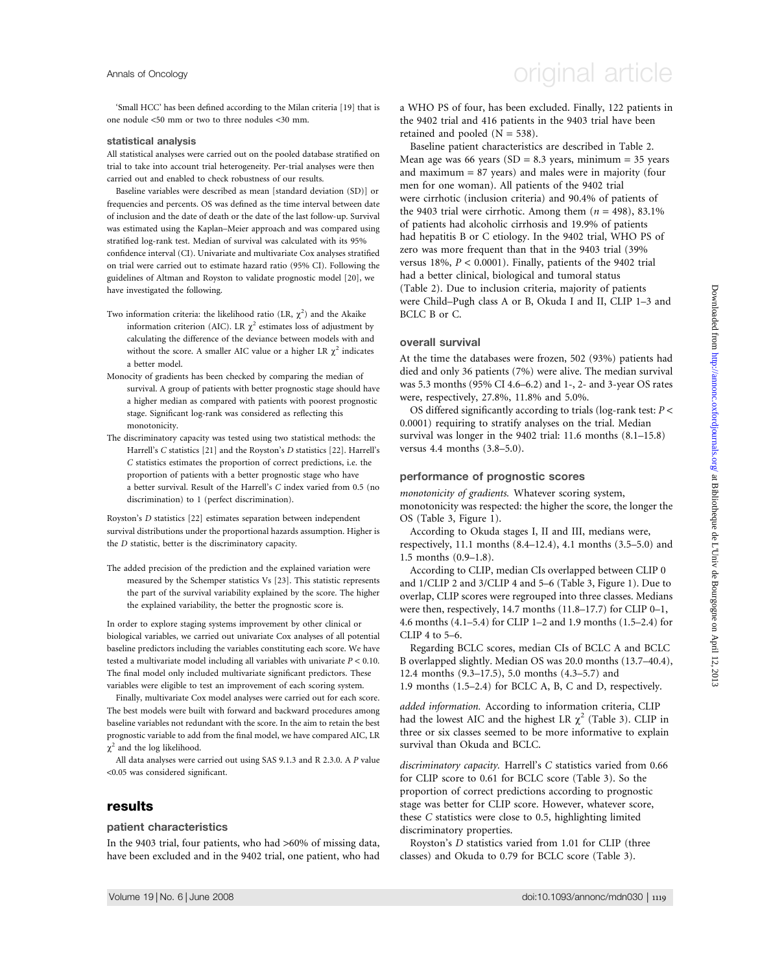Annals of Oncology **Annals of Oncology** original article

'Small HCC' has been defined according to the Milan criteria [19] that is one nodule <50 mm or two to three nodules <30 mm.

#### statistical analysis

All statistical analyses were carried out on the pooled database stratified on trial to take into account trial heterogeneity. Per-trial analyses were then carried out and enabled to check robustness of our results.

Baseline variables were described as mean [standard deviation (SD)] or frequencies and percents. OS was defined as the time interval between date of inclusion and the date of death or the date of the last follow-up. Survival was estimated using the Kaplan–Meier approach and was compared using stratified log-rank test. Median of survival was calculated with its 95% confidence interval (CI). Univariate and multivariate Cox analyses stratified on trial were carried out to estimate hazard ratio (95% CI). Following the guidelines of Altman and Royston to validate prognostic model [20], we have investigated the following.

- Two information criteria: the likelihood ratio (LR,  $\chi^2$ ) and the Akaike information criterion (AIC). LR  $\chi^2$  estimates loss of adjustment by calculating the difference of the deviance between models with and without the score. A smaller AIC value or a higher LR  $\chi^2$  indicates a better model.
- Monocity of gradients has been checked by comparing the median of survival. A group of patients with better prognostic stage should have a higher median as compared with patients with poorest prognostic stage. Significant log-rank was considered as reflecting this monotonicity.
- The discriminatory capacity was tested using two statistical methods: the Harrell's C statistics [21] and the Royston's D statistics [22]. Harrell's C statistics estimates the proportion of correct predictions, i.e. the proportion of patients with a better prognostic stage who have a better survival. Result of the Harrell's C index varied from 0.5 (no discrimination) to 1 (perfect discrimination).

Royston's D statistics [22] estimates separation between independent survival distributions under the proportional hazards assumption. Higher is the D statistic, better is the discriminatory capacity.

The added precision of the prediction and the explained variation were measured by the Schemper statistics Vs [23]. This statistic represents the part of the survival variability explained by the score. The higher the explained variability, the better the prognostic score is.

In order to explore staging systems improvement by other clinical or biological variables, we carried out univariate Cox analyses of all potential baseline predictors including the variables constituting each score. We have tested a multivariate model including all variables with univariate  $P < 0.10$ . The final model only included multivariate significant predictors. These variables were eligible to test an improvement of each scoring system.

Finally, multivariate Cox model analyses were carried out for each score. The best models were built with forward and backward procedures among baseline variables not redundant with the score. In the aim to retain the best prognostic variable to add from the final model, we have compared AIC, LR  $\chi^2$  and the log likelihood.

All data analyses were carried out using SAS 9.1.3 and R 2.3.0. A P value <0.05 was considered significant.

### results

#### patient characteristics

In the 9403 trial, four patients, who had >60% of missing data, have been excluded and in the 9402 trial, one patient, who had

a WHO PS of four, has been excluded. Finally, 122 patients in the 9402 trial and 416 patients in the 9403 trial have been retained and pooled  $(N = 538)$ .

Baseline patient characteristics are described in Table 2. Mean age was 66 years ( $SD = 8.3$  years, minimum = 35 years and maximum  $= 87$  years) and males were in majority (four men for one woman). All patients of the 9402 trial were cirrhotic (inclusion criteria) and 90.4% of patients of the 9403 trial were cirrhotic. Among them  $(n = 498)$ , 83.1% of patients had alcoholic cirrhosis and 19.9% of patients had hepatitis B or C etiology. In the 9402 trial, WHO PS of zero was more frequent than that in the 9403 trial (39% versus 18%,  $P < 0.0001$ ). Finally, patients of the 9402 trial had a better clinical, biological and tumoral status (Table 2). Due to inclusion criteria, majority of patients were Child–Pugh class A or B, Okuda I and II, CLIP 1–3 and BCLC B or C.

### overall survival

At the time the databases were frozen, 502 (93%) patients had died and only 36 patients (7%) were alive. The median survival was 5.3 months (95% CI 4.6–6.2) and 1-, 2- and 3-year OS rates were, respectively, 27.8%, 11.8% and 5.0%.

OS differed significantly according to trials (log-rank test:  $P \leq$ 0.0001) requiring to stratify analyses on the trial. Median survival was longer in the 9402 trial: 11.6 months (8.1–15.8) versus 4.4 months (3.8–5.0).

### performance of prognostic scores

monotonicity of gradients. Whatever scoring system, monotonicity was respected: the higher the score, the longer the OS (Table 3, Figure 1).

According to Okuda stages I, II and III, medians were, respectively, 11.1 months (8.4–12.4), 4.1 months (3.5–5.0) and 1.5 months (0.9–1.8).

According to CLIP, median CIs overlapped between CLIP 0 and 1/CLIP 2 and 3/CLIP 4 and 5–6 (Table 3, Figure 1). Due to overlap, CLIP scores were regrouped into three classes. Medians were then, respectively, 14.7 months (11.8–17.7) for CLIP 0–1, 4.6 months (4.1–5.4) for CLIP 1–2 and 1.9 months (1.5–2.4) for CLIP 4 to 5–6.

Regarding BCLC scores, median CIs of BCLC A and BCLC B overlapped slightly. Median OS was 20.0 months (13.7–40.4), 12.4 months (9.3–17.5), 5.0 months (4.3–5.7) and 1.9 months (1.5–2.4) for BCLC A, B, C and D, respectively.

added information. According to information criteria, CLIP had the lowest AIC and the highest LR  $\chi^2$  (Table 3). CLIP in three or six classes seemed to be more informative to explain survival than Okuda and BCLC.

discriminatory capacity. Harrell's C statistics varied from 0.66 for CLIP score to 0.61 for BCLC score (Table 3). So the proportion of correct predictions according to prognostic stage was better for CLIP score. However, whatever score, these C statistics were close to 0.5, highlighting limited discriminatory properties.

Royston's D statistics varied from 1.01 for CLIP (three classes) and Okuda to 0.79 for BCLC score (Table 3).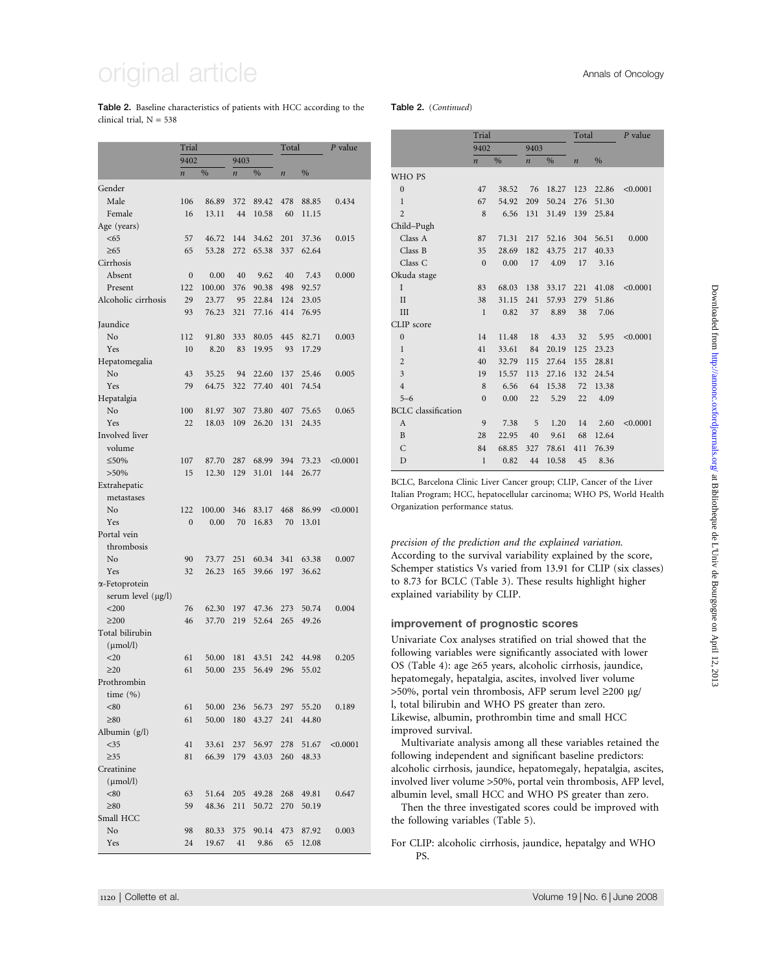Table 2. Baseline characteristics of patients with HCC according to the clinical trial,  $N = 538$ 

|                     | Trial            |        |                  | Total |                  | P value |          |
|---------------------|------------------|--------|------------------|-------|------------------|---------|----------|
|                     | 9402             |        | 9403             |       |                  |         |          |
|                     | $\boldsymbol{n}$ | $\%$   | $\boldsymbol{n}$ | $\%$  | $\boldsymbol{n}$ | $\%$    |          |
| Gender              |                  |        |                  |       |                  |         |          |
| Male                | 106              | 86.89  | 372              | 89.42 | 478              | 88.85   | 0.434    |
| Female              | 16               | 13.11  | 44               | 10.58 | 60               | 11.15   |          |
| Age (years)         |                  |        |                  |       |                  |         |          |
| < 65                | 57               | 46.72  | 144              | 34.62 | 201              | 37.36   | 0.015    |
| $\geq 65$           | 65               | 53.28  | 272              | 65.38 | 337              | 62.64   |          |
| Cirrhosis           |                  |        |                  |       |                  |         |          |
| Absent              | $\boldsymbol{0}$ | 0.00   | 40               | 9.62  | 40               | 7.43    | 0.000    |
| Present             | 122              | 100.00 | 376              | 90.38 | 498              | 92.57   |          |
| Alcoholic cirrhosis | 29               | 23.77  | 95               | 22.84 | 124              | 23.05   |          |
|                     | 93               | 76.23  | 321              | 77.16 | 414              | 76.95   |          |
| Jaundice            |                  |        |                  |       |                  |         |          |
| N <sub>o</sub>      | 112              | 91.80  | 333              | 80.05 | 445              | 82.71   | 0.003    |
| Yes                 | 10               | 8.20   | 83               | 19.95 | 93               | 17.29   |          |
| Hepatomegalia       |                  |        |                  |       |                  |         |          |
| N <sub>o</sub>      | 43               | 35.25  | 94               | 22.60 | 137              | 25.46   | 0.005    |
| Yes                 | 79               | 64.75  | 322              | 77.40 | 401              | 74.54   |          |
| Hepatalgia          |                  |        |                  |       |                  |         |          |
| N <sub>o</sub>      | 100              | 81.97  | 307              | 73.80 | 407              | 75.65   | 0.065    |
| Yes                 | 22               | 18.03  | 109              | 26.20 | 131              | 24.35   |          |
| Involved liver      |                  |        |                  |       |                  |         |          |
| volume              |                  |        |                  |       |                  |         |          |
| $\leq 50\%$         | 107              | 87.70  | 287              | 68.99 | 394              | 73.23   | < 0.0001 |
| $>50\%$             | 15               | 12.30  | 129              | 31.01 | 144              | 26.77   |          |
| Extrahepatic        |                  |        |                  |       |                  |         |          |
| metastases          |                  |        |                  |       |                  |         |          |
| N <sub>o</sub>      | 122              | 100.00 | 346              | 83.17 | 468              | 86.99   | < 0.0001 |
| Yes                 | $\overline{0}$   | 0.00   | 70               | 16.83 | 70               | 13.01   |          |
| Portal vein         |                  |        |                  |       |                  |         |          |
| thrombosis          |                  |        |                  |       |                  |         |          |
| N <sub>o</sub>      | 90               | 73.77  | 251              | 60.34 | 341              | 63.38   | 0.007    |
| Yes                 | 32               | 26.23  | 165              | 39.66 | 197              | 36.62   |          |
| α-Fetoprotein       |                  |        |                  |       |                  |         |          |
| serum level (µg/l)  |                  |        |                  |       |                  |         |          |
| $200$               | 76               | 62.30  | 197              | 47.36 | 273              | 50.74   | 0.004    |
| $\geq$ 200          | 46               | 37.70  | 219              | 52.64 | 265              | 49.26   |          |
| Total bilirubin     |                  |        |                  |       |                  |         |          |
| $(\mu mol/l)$       |                  |        |                  |       |                  |         |          |
| <20                 | 61               | 50.00  | 181              | 43.51 | 242              | 44.98   | 0.205    |
| $\geq$ 20           | 61               | 50.00  | 235              | 56.49 | 296              | 55.02   |          |
| Prothrombin         |                  |        |                  |       |                  |         |          |
| time $(% )$         |                  |        |                  |       |                  |         |          |
| < 80                | 61               | 50.00  | 236              | 56.73 | 297              | 55.20   | 0.189    |
| $\geq 80$           | 61               | 50.00  | 180              | 43.27 | 241              | 44.80   |          |
| Albumin (g/l)       |                  |        |                  |       |                  |         |          |
| $<$ 35              | 41               | 33.61  | 237              | 56.97 | 278              | 51.67   | < 0.0001 |
| $\geq 35$           | 81               | 66.39  | 179              | 43.03 | 260              | 48.33   |          |
| Creatinine          |                  |        |                  |       |                  |         |          |
| $(\mu mol/l)$       |                  |        |                  |       |                  |         |          |
| < 80                | 63               | 51.64  | 205              | 49.28 | 268              | 49.81   | 0.647    |
| $\geq 80$           | 59               | 48.36  | 211              | 50.72 | 270              | 50.19   |          |
| Small HCC           |                  |        |                  |       |                  |         |          |
| No                  | 98               | 80.33  | 375              | 90.14 | 473              | 87.92   | 0.003    |
| Yes                 | 24               | 19.67  | 41               | 9.86  | 65               | 12.08   |          |

#### Table 2. (Continued)

|                            | Trial            |       |                  | Total |                  | $P$ value |          |
|----------------------------|------------------|-------|------------------|-------|------------------|-----------|----------|
|                            | 9402             |       | 9403             |       |                  |           |          |
|                            | $\boldsymbol{n}$ | $\%$  | $\boldsymbol{n}$ | $\%$  | $\boldsymbol{n}$ | $\%$      |          |
| WHO PS                     |                  |       |                  |       |                  |           |          |
| $\overline{0}$             | 47               | 38.52 | 76               | 18.27 | 123              | 22.86     | < 0.0001 |
| $\mathbf{1}$               | 67               | 54.92 | 209              | 50.24 | 276              | 51.30     |          |
| $\overline{2}$             | 8                | 6.56  | 131              | 31.49 | 139              | 25.84     |          |
| Child-Pugh                 |                  |       |                  |       |                  |           |          |
| Class A                    | 87               | 71.31 | 217              | 52.16 | 304              | 56.51     | 0.000    |
| Class B                    | 35               | 28.69 | 182              | 43.75 | 217              | 40.33     |          |
| Class C                    | $\overline{0}$   | 0.00  | 17               | 4.09  | 17               | 3.16      |          |
| Okuda stage                |                  |       |                  |       |                  |           |          |
| I                          | 83               | 68.03 | 138              | 33.17 | 221              | 41.08     | < 0.0001 |
| $\mathbf{I}$               | 38               | 31.15 | 241              | 57.93 | 279              | 51.86     |          |
| III                        | $\mathbf{1}$     | 0.82  | 37               | 8.89  | 38               | 7.06      |          |
| CLIP score                 |                  |       |                  |       |                  |           |          |
| $\overline{0}$             | 14               | 11.48 | 18               | 4.33  | 32               | 5.95      | < 0.0001 |
| $\mathbf{1}$               | 41               | 33.61 | 84               | 20.19 | 125              | 23.23     |          |
| $\overline{2}$             | 40               | 32.79 | 115              | 27.64 | 155              | 28.81     |          |
| 3                          | 19               | 15.57 | 113              | 27.16 | 132              | 24.54     |          |
| $\overline{4}$             | 8                | 6.56  | 64               | 15.38 | 72               | 13.38     |          |
| $5 - 6$                    | $\overline{0}$   | 0.00  | 22               | 5.29  | 22               | 4.09      |          |
| <b>BCLC</b> classification |                  |       |                  |       |                  |           |          |
| A                          | 9                | 7.38  | 5                | 1.20  | 14               | 2.60      | < 0.0001 |
| B                          | 28               | 22.95 | 40               | 9.61  | 68               | 12.64     |          |
| C                          | 84               | 68.85 | 327              | 78.61 | 411              | 76.39     |          |
| D                          | $\mathbf{1}$     | 0.82  | 44               | 10.58 | 45               | 8.36      |          |

BCLC, Barcelona Clinic Liver Cancer group; CLIP, Cancer of the Liver Italian Program; HCC, hepatocellular carcinoma; WHO PS, World Health Organization performance status.

precision of the prediction and the explained variation. According to the survival variability explained by the score, Schemper statistics Vs varied from 13.91 for CLIP (six classes) to 8.73 for BCLC (Table 3). These results highlight higher explained variability by CLIP.

#### improvement of prognostic scores

Univariate Cox analyses stratified on trial showed that the following variables were significantly associated with lower OS (Table 4): age  $\geq 65$  years, alcoholic cirrhosis, jaundice, hepatomegaly, hepatalgia, ascites, involved liver volume  $>50\%$ , portal vein thrombosis, AFP serum level  $\geq 200 \text{ µg/s}$ l, total bilirubin and WHO PS greater than zero. Likewise, albumin, prothrombin time and small HCC improved survival.

Multivariate analysis among all these variables retained the following independent and significant baseline predictors: alcoholic cirrhosis, jaundice, hepatomegaly, hepatalgia, ascites, involved liver volume >50%, portal vein thrombosis, AFP level, albumin level, small HCC and WHO PS greater than zero.

Then the three investigated scores could be improved with the following variables (Table 5).

For CLIP: alcoholic cirrhosis, jaundice, hepatalgy and WHO PS.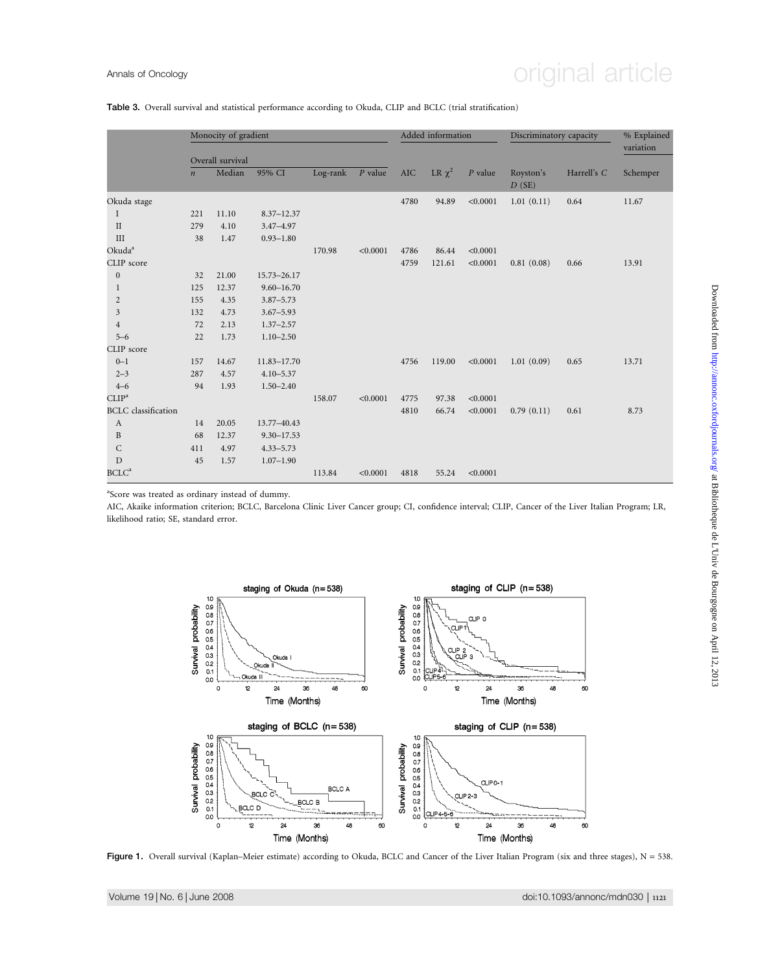# Annals of Oncology **Annals of Oncology original article**

#### Monocity of gradient  $\blacksquare$  Added information Discriminatory capacity  $\blacksquare$  % Explained variation Overall survival n Median 95% CI Log-rank P value AIC LR  $\chi^2$  P value Royston's  $D(SE)$ Harrell's C Schemper Okuda stage 4780 94.89 <0.0001 1.01 (0.11) 0.64 11.67 I 221 11.10 8.37–12.37 II 279 4.10 3.47–4.97 III 38 1.47 0.93–1.80 Okuda<sup>a</sup> 170.98 <0.0001 4786 86.44 <0.0001 CLIP score 4759 121.61 <0.0001 0.81 (0.08) 0.66 13.91 0 32 21.00 15.73–26.17 1 125 12.37 9.60–16.70 2 155 4.35 3.87–5.73 3 132 4.73 3.67–5.93 4 72 2.13 1.37–2.57 5–6 22 1.73 1.10–2.50 CLIP score 0–1 157 14.67 11.83–17.70 4756 119.00 <0.0001 1.01 (0.09) 0.65 13.71 2–3 287 4.57 4.10–5.37 4–6 94 1.93 1.50–2.40  $CLIP<sup>a</sup>$   $158.07$   $< 0.0001$   $4775$   $97.38$   $< 0.0001$ BCLC classification **4810** 66.74 <0.0001 0.79 (0.11) 0.61 8.73 A 14 20.05 13.77-40.43 B 68 12.37 9.30–17.53 C 411 4.97 4.33–5.73 D 45 1.57 1.07-1.90  $BCLC<sup>a</sup>$  113.84 <0.0001 4818 55.24 <0.0001

#### Table 3. Overall survival and statistical performance according to Okuda, CLIP and BCLC (trial stratification)

<sup>a</sup>Score was treated as ordinary instead of dummy.

AIC, Akaike information criterion; BCLC, Barcelona Clinic Liver Cancer group; CI, confidence interval; CLIP, Cancer of the Liver Italian Program; LR, likelihood ratio; SE, standard error.



Figure 1. Overall survival (Kaplan–Meier estimate) according to Okuda, BCLC and Cancer of the Liver Italian Program (six and three stages),  $N = 538$ .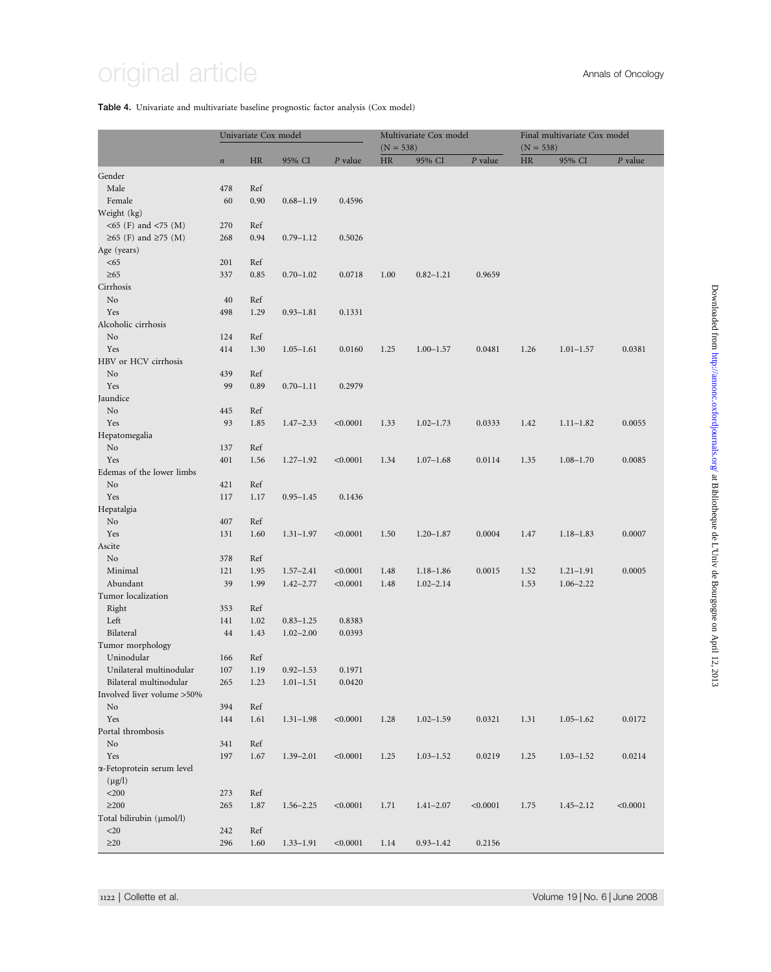#### Table 4. Univariate and multivariate baseline prognostic factor analysis (Cox model)

|                                 |                  | Univariate Cox model |               |           | $(N = 538)$ | Multivariate Cox model |           | Final multivariate Cox model<br>$(N = 538)$ |               |           |
|---------------------------------|------------------|----------------------|---------------|-----------|-------------|------------------------|-----------|---------------------------------------------|---------------|-----------|
|                                 | $\boldsymbol{n}$ | <b>HR</b>            | 95% CI        | $P$ value | HR          | 95% CI                 | $P$ value | HR                                          | 95% CI        | $P$ value |
|                                 |                  |                      |               |           |             |                        |           |                                             |               |           |
| Gender                          |                  |                      |               |           |             |                        |           |                                             |               |           |
| Male                            | 478              | Ref                  |               |           |             |                        |           |                                             |               |           |
| Female                          | 60               | 0.90                 | $0.68 - 1.19$ | 0.4596    |             |                        |           |                                             |               |           |
| Weight (kg)                     |                  |                      |               |           |             |                        |           |                                             |               |           |
| <65 (F) and <75 (M)             | 270              | Ref                  |               |           |             |                        |           |                                             |               |           |
| $\geq$ 65 (F) and $\geq$ 75 (M) | 268              | 0.94                 | $0.79 - 1.12$ | 0.5026    |             |                        |           |                                             |               |           |
| Age (years)                     |                  |                      |               |           |             |                        |           |                                             |               |           |
| $< 65$                          | 201              | Ref                  |               |           |             |                        |           |                                             |               |           |
| $\geq 65$                       | 337              | 0.85                 | $0.70 - 1.02$ | 0.0718    | 1.00        | $0.82 - 1.21$          | 0.9659    |                                             |               |           |
| Cirrhosis                       |                  |                      |               |           |             |                        |           |                                             |               |           |
| No                              | 40               | Ref                  |               |           |             |                        |           |                                             |               |           |
| Yes                             | 498              | 1.29                 | $0.93 - 1.81$ | 0.1331    |             |                        |           |                                             |               |           |
| Alcoholic cirrhosis             |                  |                      |               |           |             |                        |           |                                             |               |           |
| No                              | 124              | Ref                  |               |           |             |                        |           |                                             |               |           |
| Yes                             | 414              | 1.30                 | $1.05 - 1.61$ | 0.0160    | 1.25        | $1.00 - 1.57$          | 0.0481    | 1.26                                        | $1.01 - 1.57$ | 0.0381    |
| HBV or HCV cirrhosis            |                  |                      |               |           |             |                        |           |                                             |               |           |
| No                              | 439              | Ref                  |               |           |             |                        |           |                                             |               |           |
| Yes                             | 99               | 0.89                 | $0.70 - 1.11$ | 0.2979    |             |                        |           |                                             |               |           |
| Jaundice                        |                  |                      |               |           |             |                        |           |                                             |               |           |
| No                              | 445              | Ref                  |               |           |             |                        |           |                                             |               |           |
| Yes                             | 93               | 1.85                 | $1.47 - 2.33$ | < 0.0001  | 1.33        | $1.02 - 1.73$          | 0.0333    | 1.42                                        | $1.11 - 1.82$ | 0.0055    |
| Hepatomegalia                   |                  |                      |               |           |             |                        |           |                                             |               |           |
| No                              | 137              | Ref                  |               |           |             |                        |           |                                             |               |           |
| Yes                             | 401              | 1.56                 | $1.27 - 1.92$ | < 0.0001  | 1.34        | $1.07 - 1.68$          | 0.0114    | 1.35                                        | $1.08 - 1.70$ | 0.0085    |
| Edemas of the lower limbs       |                  |                      |               |           |             |                        |           |                                             |               |           |
| No                              | 421              | Ref                  |               |           |             |                        |           |                                             |               |           |
| Yes                             | 117              | 1.17                 | $0.95 - 1.45$ | 0.1436    |             |                        |           |                                             |               |           |
| Hepatalgia                      |                  |                      |               |           |             |                        |           |                                             |               |           |
| No                              | 407              | Ref                  |               |           |             |                        |           |                                             |               |           |
| Yes                             | 131              | 1.60                 | $1.31 - 1.97$ | < 0.0001  | 1.50        | $1.20 - 1.87$          | 0.0004    | 1.47                                        | $1.18 - 1.83$ | 0.0007    |
| Ascite                          |                  |                      |               |           |             |                        |           |                                             |               |           |
| No                              | 378              | Ref                  |               |           |             |                        |           |                                             |               |           |
| Minimal                         | 121              | 1.95                 | $1.57 - 2.41$ | < 0.0001  | 1.48        | 1.18-1.86              | 0.0015    | 1.52                                        | $1.21 - 1.91$ | 0.0005    |
| Abundant                        | 39               | 1.99                 | $1.42 - 2.77$ | < 0.0001  | 1.48        | $1.02 - 2.14$          |           | 1.53                                        | $1.06 - 2.22$ |           |
| Tumor localization              |                  |                      |               |           |             |                        |           |                                             |               |           |
| Right                           | 353              | Ref                  |               |           |             |                        |           |                                             |               |           |
| Left                            | 141              | 1.02                 | $0.83 - 1.25$ | 0.8383    |             |                        |           |                                             |               |           |
| Bilateral                       | 44               | 1.43                 | $1.02 - 2.00$ | 0.0393    |             |                        |           |                                             |               |           |
| Tumor morphology                |                  |                      |               |           |             |                        |           |                                             |               |           |
| Uninodular                      | 166              | Ref                  |               |           |             |                        |           |                                             |               |           |
| Unilateral multinodular         | 107              | 1.19                 | $0.92 - 1.53$ | 0.1971    |             |                        |           |                                             |               |           |
| Bilateral multinodular          | 265              | 1.23                 | $1.01 - 1.51$ | 0.0420    |             |                        |           |                                             |               |           |
| Involved liver volume >50%      |                  |                      |               |           |             |                        |           |                                             |               |           |
| No                              |                  |                      |               |           |             |                        |           |                                             |               |           |
|                                 | 394              | Ref                  |               |           |             |                        |           |                                             |               |           |
| Yes                             | 144              | 1.61                 | $1.31 - 1.98$ | < 0.0001  | 1.28        | $1.02 - 1.59$          | 0.0321    | 1.31                                        | $1.05 - 1.62$ | 0.0172    |
| Portal thrombosis               |                  |                      |               |           |             |                        |           |                                             |               |           |
| No                              | 341              | Ref                  |               |           |             |                        |           |                                             |               |           |
| Yes                             | 197              | 1.67                 | $1.39 - 2.01$ | < 0.0001  | 1.25        | $1.03 - 1.52$          | 0.0219    | 1.25                                        | $1.03 - 1.52$ | 0.0214    |
| x-Fetoprotein serum level       |                  |                      |               |           |             |                        |           |                                             |               |           |
| $(\mu g/l)$                     |                  |                      |               |           |             |                        |           |                                             |               |           |
| $<$ 200 $\,$                    | 273              | Ref                  |               |           |             |                        |           |                                             |               |           |
| $\geq$ 200                      | 265              | 1.87                 | $1.56 - 2.25$ | < 0.0001  | 1.71        | $1.41 - 2.07$          | < 0.0001  | 1.75                                        | $1.45 - 2.12$ | < 0.0001  |
| Total bilirubin (µmol/l)        |                  |                      |               |           |             |                        |           |                                             |               |           |
| $<$ 20                          | 242              | Ref                  |               |           |             |                        |           |                                             |               |           |
| $\geq$ 20                       | 296              | 1.60                 | $1.33 - 1.91$ | < 0.0001  | 1.14        | $0.93 - 1.42$          | 0.2156    |                                             |               |           |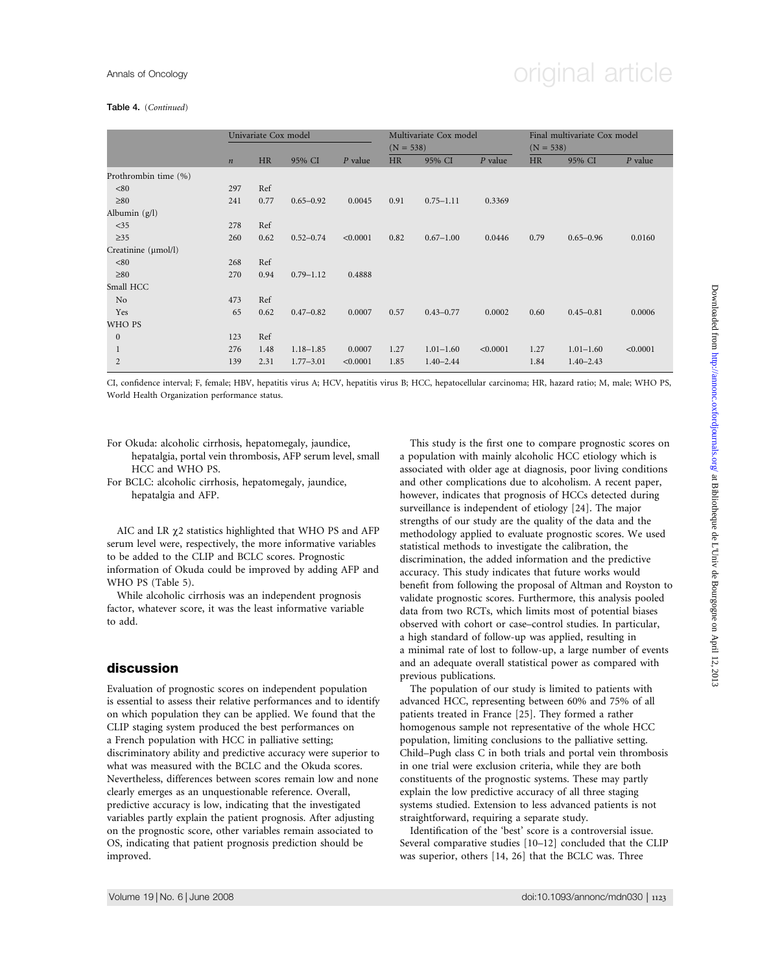# Annals of Oncology **Annals of Oncology** original article

#### Table 4. (Continued)

|                      | Univariate Cox model |           |               |           | Multivariate Cox model |               |          | Final multivariate Cox model |               |           |
|----------------------|----------------------|-----------|---------------|-----------|------------------------|---------------|----------|------------------------------|---------------|-----------|
|                      |                      |           |               |           | $(N = 538)$            |               |          | $(N = 538)$                  |               |           |
|                      | $\boldsymbol{n}$     | <b>HR</b> | 95% CI        | $P$ value | <b>HR</b>              | 95% CI        | P value  | <b>HR</b>                    | 95% CI        | $P$ value |
| Prothrombin time (%) |                      |           |               |           |                        |               |          |                              |               |           |
| <80                  | 297                  | Ref       |               |           |                        |               |          |                              |               |           |
| $\geq 80$            | 241                  | 0.77      | $0.65 - 0.92$ | 0.0045    | 0.91                   | $0.75 - 1.11$ | 0.3369   |                              |               |           |
| Albumin $(g/l)$      |                      |           |               |           |                        |               |          |                              |               |           |
| $<$ 35               | 278                  | Ref       |               |           |                        |               |          |                              |               |           |
| $\geq$ 35            | 260                  | 0.62      | $0.52 - 0.74$ | < 0.0001  | 0.82                   | $0.67 - 1.00$ | 0.0446   | 0.79                         | $0.65 - 0.96$ | 0.0160    |
| Creatinine (µmol/l)  |                      |           |               |           |                        |               |          |                              |               |           |
| < 80                 | 268                  | Ref       |               |           |                        |               |          |                              |               |           |
| $\geq 80$            | 270                  | 0.94      | $0.79 - 1.12$ | 0.4888    |                        |               |          |                              |               |           |
| Small HCC            |                      |           |               |           |                        |               |          |                              |               |           |
| N <sub>o</sub>       | 473                  | Ref       |               |           |                        |               |          |                              |               |           |
| Yes                  | 65                   | 0.62      | $0.47 - 0.82$ | 0.0007    | 0.57                   | $0.43 - 0.77$ | 0.0002   | 0.60                         | $0.45 - 0.81$ | 0.0006    |
| WHO PS               |                      |           |               |           |                        |               |          |                              |               |           |
| $\boldsymbol{0}$     | 123                  | Ref       |               |           |                        |               |          |                              |               |           |
| $\mathbf{1}$         | 276                  | 1.48      | $1.18 - 1.85$ | 0.0007    | 1.27                   | $1.01 - 1.60$ | < 0.0001 | 1.27                         | $1.01 - 1.60$ | < 0.0001  |
| $\overline{2}$       | 139                  | 2.31      | $1.77 - 3.01$ | < 0.0001  | 1.85                   | $1.40 - 2.44$ |          | 1.84                         | $1.40 - 2.43$ |           |

CI, confidence interval; F, female; HBV, hepatitis virus A; HCV, hepatitis virus B; HCC, hepatocellular carcinoma; HR, hazard ratio; M, male; WHO PS, World Health Organization performance status.

For Okuda: alcoholic cirrhosis, hepatomegaly, jaundice,

hepatalgia, portal vein thrombosis, AFP serum level, small HCC and WHO PS.

For BCLC: alcoholic cirrhosis, hepatomegaly, jaundice, hepatalgia and AFP.

AIC and LR  $\chi$ 2 statistics highlighted that WHO PS and AFP serum level were, respectively, the more informative variables to be added to the CLIP and BCLC scores. Prognostic information of Okuda could be improved by adding AFP and WHO PS (Table 5).

While alcoholic cirrhosis was an independent prognosis factor, whatever score, it was the least informative variable to add.

### discussion

Evaluation of prognostic scores on independent population is essential to assess their relative performances and to identify on which population they can be applied. We found that the CLIP staging system produced the best performances on a French population with HCC in palliative setting; discriminatory ability and predictive accuracy were superior to what was measured with the BCLC and the Okuda scores. Nevertheless, differences between scores remain low and none clearly emerges as an unquestionable reference. Overall, predictive accuracy is low, indicating that the investigated variables partly explain the patient prognosis. After adjusting on the prognostic score, other variables remain associated to OS, indicating that patient prognosis prediction should be improved.

This study is the first one to compare prognostic scores on a population with mainly alcoholic HCC etiology which is associated with older age at diagnosis, poor living conditions and other complications due to alcoholism. A recent paper, however, indicates that prognosis of HCCs detected during surveillance is independent of etiology [24]. The major strengths of our study are the quality of the data and the methodology applied to evaluate prognostic scores. We used statistical methods to investigate the calibration, the discrimination, the added information and the predictive accuracy. This study indicates that future works would benefit from following the proposal of Altman and Royston to validate prognostic scores. Furthermore, this analysis pooled data from two RCTs, which limits most of potential biases observed with cohort or case–control studies. In particular, a high standard of follow-up was applied, resulting in a minimal rate of lost to follow-up, a large number of events and an adequate overall statistical power as compared with previous publications.

The population of our study is limited to patients with advanced HCC, representing between 60% and 75% of all patients treated in France [25]. They formed a rather homogenous sample not representative of the whole HCC population, limiting conclusions to the palliative setting. Child–Pugh class C in both trials and portal vein thrombosis in one trial were exclusion criteria, while they are both constituents of the prognostic systems. These may partly explain the low predictive accuracy of all three staging systems studied. Extension to less advanced patients is not straightforward, requiring a separate study.

Identification of the 'best' score is a controversial issue. Several comparative studies [10–12] concluded that the CLIP was superior, others [14, 26] that the BCLC was. Three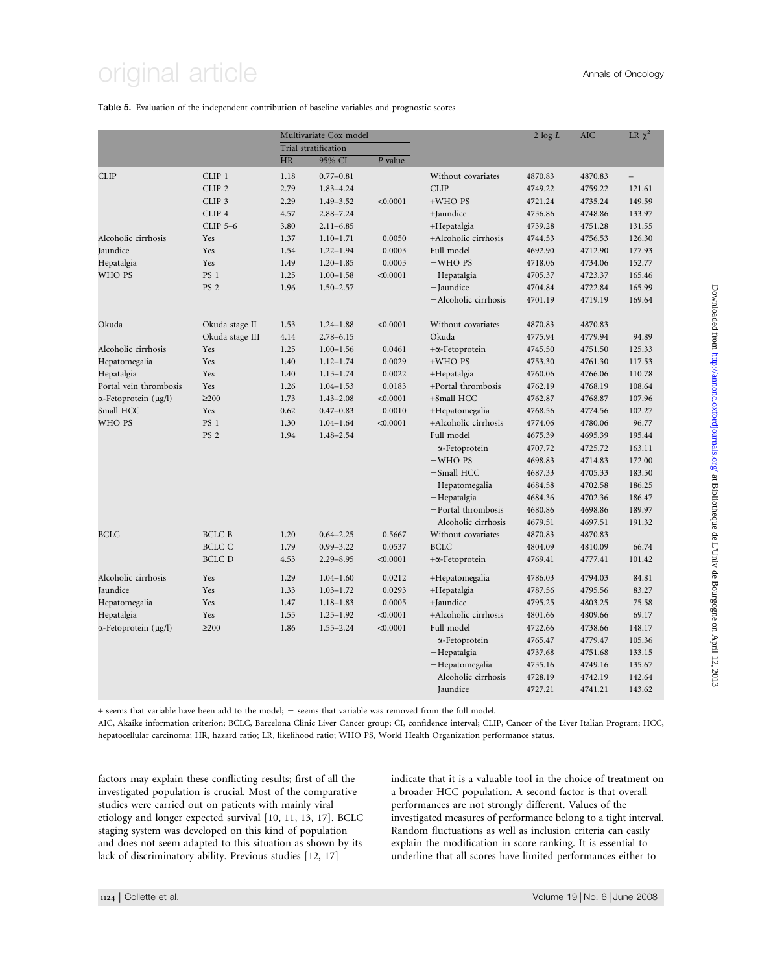#### Table 5. Evaluation of the independent contribution of baseline variables and prognostic scores

|                        |                   |      | Multivariate Cox model |          |                        | $-2 log L$ | <b>AIC</b> | LR $\chi^2$ |
|------------------------|-------------------|------|------------------------|----------|------------------------|------------|------------|-------------|
|                        |                   |      | Trial stratification   |          |                        |            |            |             |
|                        |                   | HR   | 95% CI                 | P value  |                        |            |            |             |
| <b>CLIP</b>            | CLIP 1            | 1.18 | $0.77 - 0.81$          |          | Without covariates     | 4870.83    | 4870.83    |             |
|                        | CLIP <sub>2</sub> | 2.79 | 1.83-4.24              |          | <b>CLIP</b>            | 4749.22    | 4759.22    | 121.61      |
|                        | CLIP <sub>3</sub> | 2.29 | 1.49 - 3.52            | < 0.0001 | +WHO PS                | 4721.24    | 4735.24    | 149.59      |
|                        | CLIP 4            | 4.57 | 2.88-7.24              |          | +Jaundice              | 4736.86    | 4748.86    | 133.97      |
|                        | <b>CLIP 5-6</b>   | 3.80 | $2.11 - 6.85$          |          | +Hepatalgia            | 4739.28    | 4751.28    | 131.55      |
| Alcoholic cirrhosis    | Yes               | 1.37 | $1.10 - 1.71$          | 0.0050   | +Alcoholic cirrhosis   | 4744.53    | 4756.53    | 126.30      |
| <b>Jaundice</b>        | Yes               | 1.54 | $1.22 - 1.94$          | 0.0003   | Full model             | 4692.90    | 4712.90    | 177.93      |
| Hepatalgia             | Yes               | 1.49 | $1.20 - 1.85$          | 0.0003   | $-WHO$ PS              | 4718.06    | 4734.06    | 152.77      |
| WHO PS                 | PS <sub>1</sub>   | 1.25 | $1.00 - 1.58$          | < 0.0001 | $-Hepatalgia$          | 4705.37    | 4723.37    | 165.46      |
|                        | PS <sub>2</sub>   | 1.96 | $1.50 - 2.57$          |          | -Jaundice              | 4704.84    | 4722.84    | 165.99      |
|                        |                   |      |                        |          | -Alcoholic cirrhosis   | 4701.19    | 4719.19    | 169.64      |
| Okuda                  | Okuda stage II    | 1.53 | $1.24 - 1.88$          | < 0.0001 | Without covariates     | 4870.83    | 4870.83    |             |
|                        | Okuda stage III   | 4.14 | 2.78-6.15              |          | Okuda                  | 4775.94    | 4779.94    | 94.89       |
| Alcoholic cirrhosis    | Yes               | 1.25 | $1.00 - 1.56$          | 0.0461   | $+\alpha$ -Fetoprotein | 4745.50    | 4751.50    | 125.33      |
| Hepatomegalia          | Yes               | 1.40 | $1.12 - 1.74$          | 0.0029   | +WHO PS                | 4753.30    | 4761.30    | 117.53      |
| Hepatalgia             | Yes               | 1.40 | $1.13 - 1.74$          | 0.0022   | +Hepatalgia            | 4760.06    | 4766.06    | 110.78      |
| Portal vein thrombosis | Yes               | 1.26 | $1.04 - 1.53$          | 0.0183   | +Portal thrombosis     | 4762.19    | 4768.19    | 108.64      |
| α-Fetoprotein (μg/l)   | $\geq$ 200        | 1.73 | $1.43 - 2.08$          | < 0.0001 | +Small HCC             | 4762.87    | 4768.87    | 107.96      |
| Small HCC              | Yes               | 0.62 | $0.47 - 0.83$          | 0.0010   | +Hepatomegalia         | 4768.56    | 4774.56    | 102.27      |
| WHO PS                 | <b>PS 1</b>       | 1.30 | $1.04 - 1.64$          | < 0.0001 | +Alcoholic cirrhosis   | 4774.06    | 4780.06    | 96.77       |
|                        | PS <sub>2</sub>   | 1.94 | $1.48 - 2.54$          |          | Full model             | 4675.39    | 4695.39    | 195.44      |
|                        |                   |      |                        |          | $-\alpha$ -Fetoprotein | 4707.72    | 4725.72    | 163.11      |
|                        |                   |      |                        |          | $-WHO$ PS              | 4698.83    | 4714.83    | 172.00      |
|                        |                   |      |                        |          | $-$ Small HCC          | 4687.33    | 4705.33    | 183.50      |
|                        |                   |      |                        |          | -Hepatomegalia         | 4684.58    | 4702.58    | 186.25      |
|                        |                   |      |                        |          | $-Hepatalgia$          | 4684.36    | 4702.36    | 186.47      |
|                        |                   |      |                        |          | -Portal thrombosis     | 4680.86    | 4698.86    | 189.97      |
|                        |                   |      |                        |          | -Alcoholic cirrhosis   | 4679.51    | 4697.51    | 191.32      |
| BCLC                   | <b>BCLC B</b>     | 1.20 | $0.64 - 2.25$          | 0.5667   | Without covariates     | 4870.83    | 4870.83    |             |
|                        | <b>BCLC C</b>     | 1.79 | $0.99 - 3.22$          | 0.0537   | <b>BCLC</b>            | 4804.09    | 4810.09    | 66.74       |
|                        | <b>BCLC</b> D     | 4.53 | 2.29-8.95              | < 0.0001 | +α-Fetoprotein         | 4769.41    | 4777.41    | 101.42      |
| Alcoholic cirrhosis    | Yes               | 1.29 | $1.04 - 1.60$          | 0.0212   | +Hepatomegalia         | 4786.03    | 4794.03    | 84.81       |
| Jaundice               | Yes               | 1.33 | $1.03 - 1.72$          | 0.0293   | +Hepatalgia            | 4787.56    | 4795.56    | 83.27       |
| Hepatomegalia          | Yes               | 1.47 | $1.18 - 1.83$          | 0.0005   | +Jaundice              | 4795.25    | 4803.25    | 75.58       |
| Hepatalgia             | Yes               | 1.55 | $1.25 - 1.92$          | < 0.0001 | +Alcoholic cirrhosis   | 4801.66    | 4809.66    | 69.17       |
| α-Fetoprotein (μg/l)   | $\geq$ 200        | 1.86 | $1.55 - 2.24$          | < 0.0001 | Full model             | 4722.66    | 4738.66    | 148.17      |
|                        |                   |      |                        |          | $-\alpha$ -Fetoprotein | 4765.47    | 4779.47    | 105.36      |
|                        |                   |      |                        |          | -Hepatalgia            | 4737.68    | 4751.68    | 133.15      |
|                        |                   |      |                        |          | -Hepatomegalia         | 4735.16    | 4749.16    | 135.67      |
|                        |                   |      |                        |          | -Alcoholic cirrhosis   | 4728.19    | 4742.19    | 142.64      |
|                        |                   |      |                        |          | -Jaundice              | 4727.21    | 4741.21    | 143.62      |

+ seems that variable have been add to the model; - seems that variable was removed from the full model.

AIC, Akaike information criterion; BCLC, Barcelona Clinic Liver Cancer group; CI, confidence interval; CLIP, Cancer of the Liver Italian Program; HCC, hepatocellular carcinoma; HR, hazard ratio; LR, likelihood ratio; WHO PS, World Health Organization performance status.

factors may explain these conflicting results; first of all the investigated population is crucial. Most of the comparative studies were carried out on patients with mainly viral etiology and longer expected survival [10, 11, 13, 17]. BCLC staging system was developed on this kind of population and does not seem adapted to this situation as shown by its lack of discriminatory ability. Previous studies [12, 17]

indicate that it is a valuable tool in the choice of treatment on a broader HCC population. A second factor is that overall performances are not strongly different. Values of the investigated measures of performance belong to a tight interval. Random fluctuations as well as inclusion criteria can easily explain the modification in score ranking. It is essential to underline that all scores have limited performances either to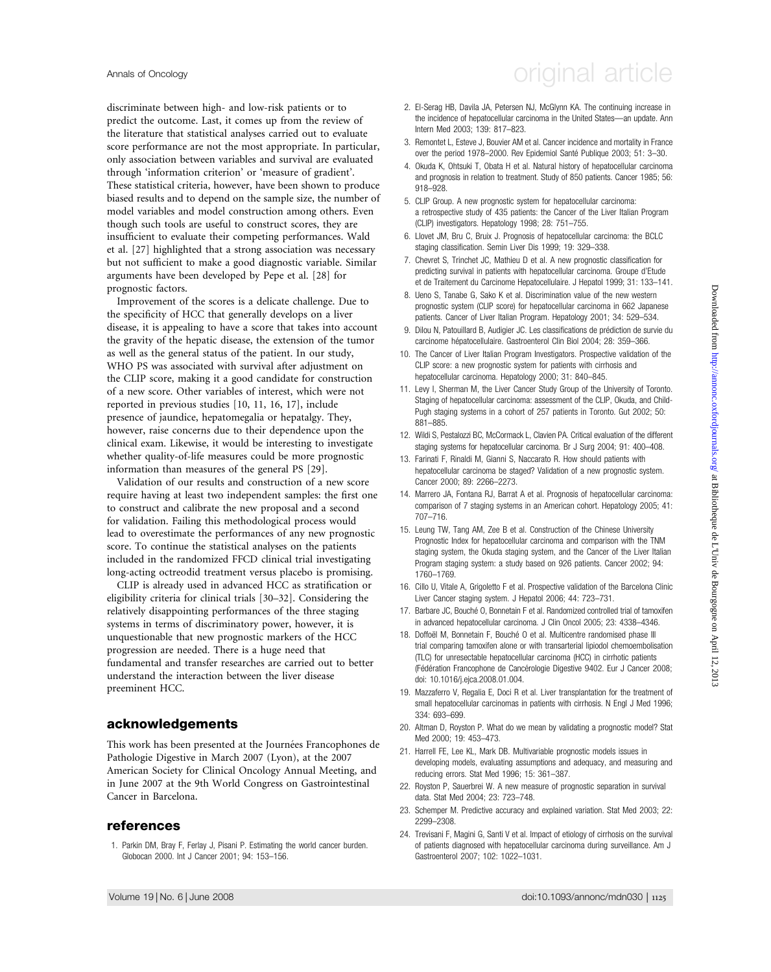discriminate between high- and low-risk patients or to predict the outcome. Last, it comes up from the review of the literature that statistical analyses carried out to evaluate score performance are not the most appropriate. In particular, only association between variables and survival are evaluated through 'information criterion' or 'measure of gradient'. These statistical criteria, however, have been shown to produce biased results and to depend on the sample size, the number of model variables and model construction among others. Even though such tools are useful to construct scores, they are insufficient to evaluate their competing performances. Wald et al. [27] highlighted that a strong association was necessary but not sufficient to make a good diagnostic variable. Similar arguments have been developed by Pepe et al. [28] for prognostic factors.

Improvement of the scores is a delicate challenge. Due to the specificity of HCC that generally develops on a liver disease, it is appealing to have a score that takes into account the gravity of the hepatic disease, the extension of the tumor as well as the general status of the patient. In our study, WHO PS was associated with survival after adjustment on the CLIP score, making it a good candidate for construction of a new score. Other variables of interest, which were not reported in previous studies [10, 11, 16, 17], include presence of jaundice, hepatomegalia or hepatalgy. They, however, raise concerns due to their dependence upon the clinical exam. Likewise, it would be interesting to investigate whether quality-of-life measures could be more prognostic information than measures of the general PS [29].

Validation of our results and construction of a new score require having at least two independent samples: the first one to construct and calibrate the new proposal and a second for validation. Failing this methodological process would lead to overestimate the performances of any new prognostic score. To continue the statistical analyses on the patients included in the randomized FFCD clinical trial investigating long-acting octreodid treatment versus placebo is promising.

CLIP is already used in advanced HCC as stratification or eligibility criteria for clinical trials [30–32]. Considering the relatively disappointing performances of the three staging systems in terms of discriminatory power, however, it is unquestionable that new prognostic markers of the HCC progression are needed. There is a huge need that fundamental and transfer researches are carried out to better understand the interaction between the liver disease preeminent HCC.

### acknowledgements

This work has been presented at the Journées Francophones de Pathologie Digestive in March 2007 (Lyon), at the 2007 American Society for Clinical Oncology Annual Meeting, and in June 2007 at the 9th World Congress on Gastrointestinal Cancer in Barcelona.

### references

1. Parkin DM, Bray F, Ferlay J, Pisani P. Estimating the world cancer burden. Globocan 2000. Int J Cancer 2001; 94: 153–156.

#### 2. El-Serag HB, Davila JA, Petersen NJ, McGlynn KA. The continuing increase in the incidence of hepatocellular carcinoma in the United States—an update. Ann Intern Med 2003; 139: 817–823.

- 3. Remontet L, Esteve J, Bouvier AM et al. Cancer incidence and mortality in France over the period 1978–2000. Rev Epidemiol Santé Publique 2003; 51: 3–30.
- 4. Okuda K, Ohtsuki T, Obata H et al. Natural history of hepatocellular carcinoma and prognosis in relation to treatment. Study of 850 patients. Cancer 1985; 56: 918–928.
- 5. CLIP Group. A new prognostic system for hepatocellular carcinoma: a retrospective study of 435 patients: the Cancer of the Liver Italian Program (CLIP) investigators. Hepatology 1998; 28: 751–755.
- 6. Llovet JM, Bru C, Bruix J. Prognosis of hepatocellular carcinoma: the BCLC staging classification. Semin Liver Dis 1999; 19: 329–338.
- 7. Chevret S, Trinchet JC, Mathieu D et al. A new prognostic classification for predicting survival in patients with hepatocellular carcinoma. Groupe d'Etude et de Traitement du Carcinome Hepatocellulaire. J Hepatol 1999; 31: 133–141.
- 8. Ueno S, Tanabe G, Sako K et al. Discrimination value of the new western prognostic system (CLIP score) for hepatocellular carcinoma in 662 Japanese patients. Cancer of Liver Italian Program. Hepatology 2001; 34: 529–534.
- 9. Dilou N, Patouillard B, Audigier JC. Les classifications de prédiction de survie du carcinome hépatocellulaire. Gastroenterol Clin Biol 2004; 28: 359-366.
- 10. The Cancer of Liver Italian Program Investigators. Prospective validation of the CLIP score: a new prognostic system for patients with cirrhosis and hepatocellular carcinoma. Hepatology 2000; 31: 840–845.
- 11. Levy I, Sherman M, the Liver Cancer Study Group of the University of Toronto. Staging of hepatocellular carcinoma: assessment of the CLIP, Okuda, and Child-Pugh staging systems in a cohort of 257 patients in Toronto. Gut 2002; 50: 881–885.
- 12. Wildi S, Pestalozzi BC, McCormack L, Clavien PA. Critical evaluation of the different staging systems for hepatocellular carcinoma. Br J Surg 2004; 91: 400–408.
- 13. Farinati F, Rinaldi M, Gianni S, Naccarato R. How should patients with hepatocellular carcinoma be staged? Validation of a new prognostic system. Cancer 2000; 89: 2266–2273.
- 14. Marrero JA, Fontana RJ, Barrat A et al. Prognosis of hepatocellular carcinoma: comparison of 7 staging systems in an American cohort. Hepatology 2005; 41: 707–716.
- 15. Leung TW, Tang AM, Zee B et al. Construction of the Chinese University Prognostic Index for hepatocellular carcinoma and comparison with the TNM staging system, the Okuda staging system, and the Cancer of the Liver Italian Program staging system: a study based on 926 patients. Cancer 2002; 94: 1760–1769.
- 16. Cillo U, Vitale A, Grigoletto F et al. Prospective validation of the Barcelona Clinic Liver Cancer staging system. J Hepatol 2006; 44: 723–731.
- 17. Barbare JC, Bouché O, Bonnetain F et al. Randomized controlled trial of tamoxifen in advanced hepatocellular carcinoma. J Clin Oncol 2005; 23: 4338–4346.
- 18. Doffoël M, Bonnetain F, Bouché O et al. Multicentre randomised phase III trial comparing tamoxifen alone or with transarterial lipiodol chemoembolisation (TLC) for unresectable hepatocellular carcinoma (HCC) in cirrhotic patients (Fédération Francophone de Cancérologie Digestive 9402. Eur J Cancer 2008; doi: 10.1016/j.ejca.2008.01.004.
- 19. Mazzaferro V, Regalia E, Doci R et al. Liver transplantation for the treatment of small hepatocellular carcinomas in patients with cirrhosis. N Engl J Med 1996; 334: 693–699.
- 20. Altman D, Royston P. What do we mean by validating a prognostic model? Stat Med 2000; 19: 453–473.
- 21. Harrell FE, Lee KL, Mark DB. Multivariable prognostic models issues in developing models, evaluating assumptions and adequacy, and measuring and reducing errors. Stat Med 1996; 15: 361–387.
- 22. Royston P, Sauerbrei W. A new measure of prognostic separation in survival data. Stat Med 2004; 23: 723–748.
- 23. Schemper M. Predictive accuracy and explained variation. Stat Med 2003; 22: 2299–2308.
- 24. Trevisani F, Magini G, Santi V et al. Impact of etiology of cirrhosis on the survival of patients diagnosed with hepatocellular carcinoma during surveillance. Am J Gastroenterol 2007; 102: 1022–1031.